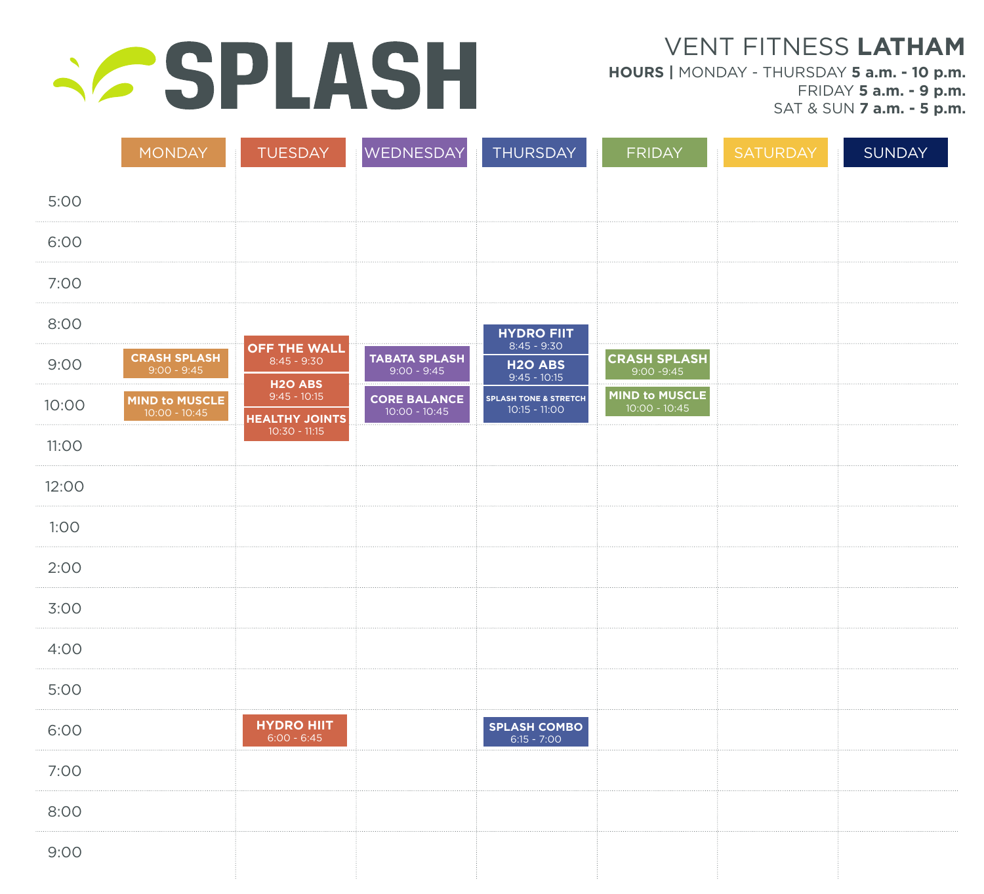# **SPLASH**

VENT FITNESS **LATHAM**

**HOURS |** MONDAY - THURSDAY **5 a.m. - 10 p.m.** FRIDAY **5 a.m. - 9 p.m.** SAT & SUN **7 a.m. - 5 p.m.**

|              | <b>MONDAY</b>                            | TUESDAY                                                | WEDNESDAY                              | THURSDAY                                            | <b>FRIDAY</b>                        | SATURDAY | <b>SUNDAY</b> |
|--------------|------------------------------------------|--------------------------------------------------------|----------------------------------------|-----------------------------------------------------|--------------------------------------|----------|---------------|
| 5:00         |                                          |                                                        |                                        |                                                     |                                      |          |               |
| 6:00         |                                          |                                                        |                                        |                                                     |                                      |          |               |
| 7:00         |                                          |                                                        |                                        |                                                     |                                      |          |               |
| 8:00         |                                          |                                                        |                                        | <b>HYDRO FIIT</b>                                   |                                      |          |               |
| 9:00         | <b>CRASH SPLASH</b><br>$9:00 - 9:45$     | <b>OFF THE WALL</b><br>$8:45 - 9:30$<br><b>H2O ABS</b> | <b>TABATA SPLASH</b><br>$9:00 - 9:45$  | $8:45 - 9:30$<br><b>H2O ABS</b><br>$9:45 - 10:15$   | <b>CRASH SPLASH</b><br>$9:00 - 9:45$ |          |               |
| 10:00        | <b>MIND to MUSCLE</b><br>$10:00 - 10:45$ | $9:45 - 10:15$<br><b>HEALTHY JOINTS</b>                | <b>CORE BALANCE</b><br>$10:00 - 10:45$ | <b>SPLASH TONE &amp; STRETCH</b><br>$10:15 - 11:00$ | MIND to MUSCLE<br>$10:00 - 10:45$    |          |               |
| <b>11:00</b> |                                          | $10:30 - 11:15$                                        |                                        |                                                     |                                      |          |               |
| 12:00        |                                          |                                                        |                                        |                                                     |                                      |          |               |
| 1:00         |                                          |                                                        |                                        |                                                     |                                      |          |               |
| 2:00         |                                          |                                                        |                                        |                                                     |                                      |          |               |
| 3:00         |                                          |                                                        |                                        |                                                     |                                      |          |               |
| 4:00         |                                          |                                                        |                                        |                                                     |                                      |          |               |
| 5:00         |                                          |                                                        |                                        |                                                     |                                      |          |               |
| 6:00         |                                          | <b>HYDRO HIIT</b><br>$6:00 - 6:45$                     |                                        | <b>SPLASH COMBO</b><br>$6:15 - 7:00$                |                                      |          |               |
| 7:00         |                                          |                                                        |                                        |                                                     |                                      |          |               |
| 8:00         |                                          |                                                        |                                        |                                                     |                                      |          |               |
| 9:00         |                                          |                                                        |                                        |                                                     |                                      |          |               |